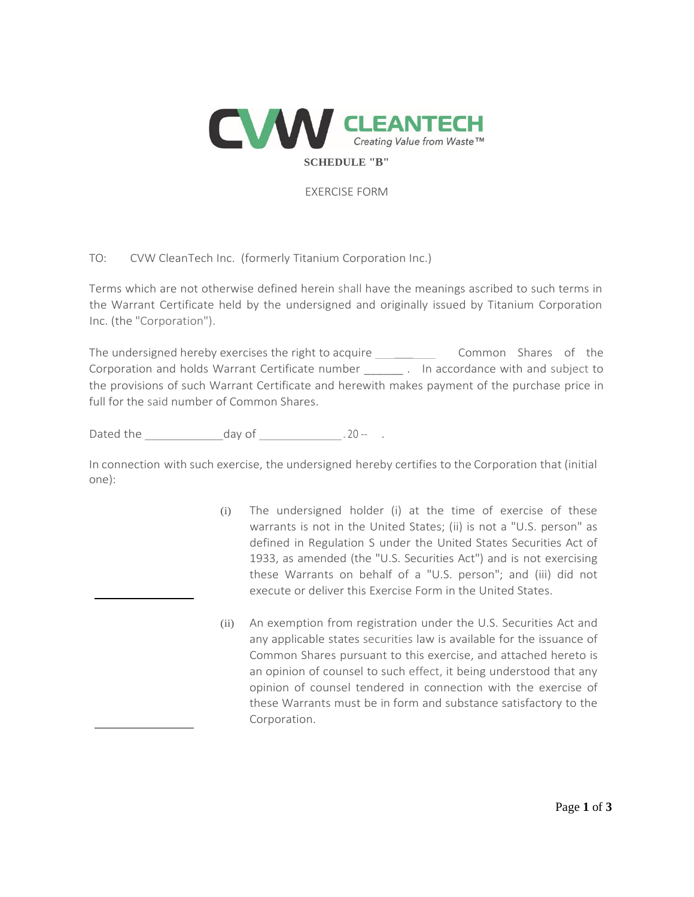

EXERCISE FORM

## TO: CVW CleanTech Inc. (formerly Titanium Corporation Inc.)

Terms which are not otherwise defined herein shall have the meanings ascribed to such terms in the Warrant Certificate held by the undersigned and originally issued by Titanium Corporation Inc. (the "Corporation").

The undersigned hereby exercises the right to acquire \_\_\_\_\_\_\_\_\_\_\_\_\_\_\_\_\_\_\_\_\_Common Shares of the Corporation and holds Warrant Certificate number \_\_\_\_\_\_\_\_. In accordance with and subject to the provisions of such Warrant Certificate and herewith makes payment of the purchase price in full for the said number of Common Shares.

Dated the day of .20 -- .

In connection with such exercise, the undersigned hereby certifies to the Corporation that (initial one):

- (i) The undersigned holder (i) at the time of exercise of these warrants is not in the United States; (ii) is not a "U.S. person" as defined in Regulation S under the United States Securities Act of 1933, as amended (the "U.S. Securities Act") and is not exercising these Warrants on behalf of a "U.S. person"; and (iii) did not execute or deliver this Exercise Form in the United States.
- (ii) An exemption from registration under the U.S. Securities Act and any applicable states securities law is available for the issuance of Common Shares pursuant to this exercise, and attached hereto is an opinion of counsel to such effect, it being understood that any opinion of counsel tendered in connection with the exercise of these Warrants must be in form and substance satisfactory to the Corporation.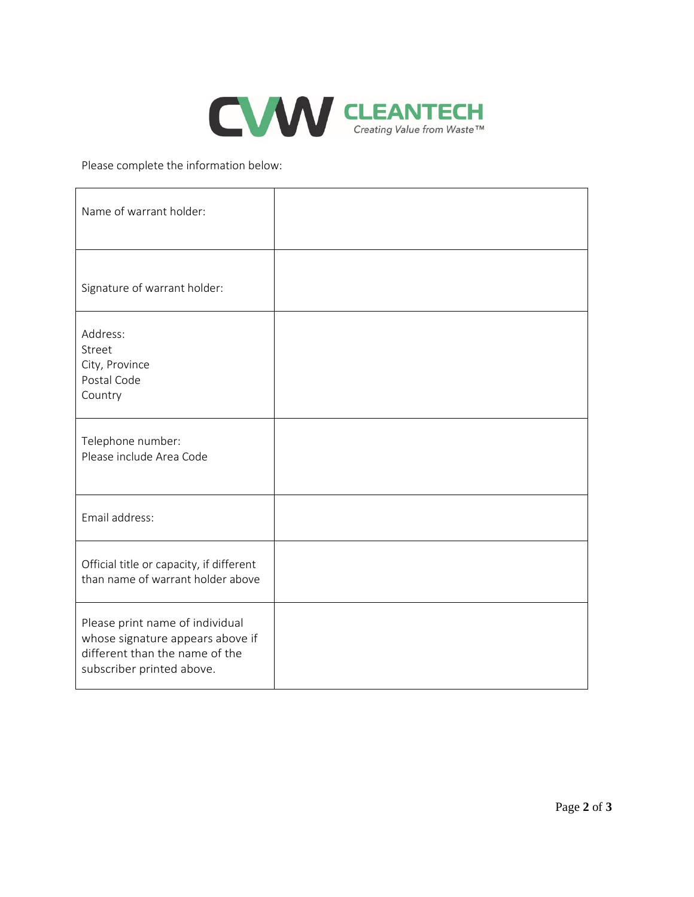

Please complete the information below:

| Name of warrant holder:                                                                                                            |  |
|------------------------------------------------------------------------------------------------------------------------------------|--|
| Signature of warrant holder:                                                                                                       |  |
| Address:<br>Street<br>City, Province<br>Postal Code<br>Country                                                                     |  |
| Telephone number:<br>Please include Area Code                                                                                      |  |
| Email address:                                                                                                                     |  |
| Official title or capacity, if different<br>than name of warrant holder above                                                      |  |
| Please print name of individual<br>whose signature appears above if<br>different than the name of the<br>subscriber printed above. |  |